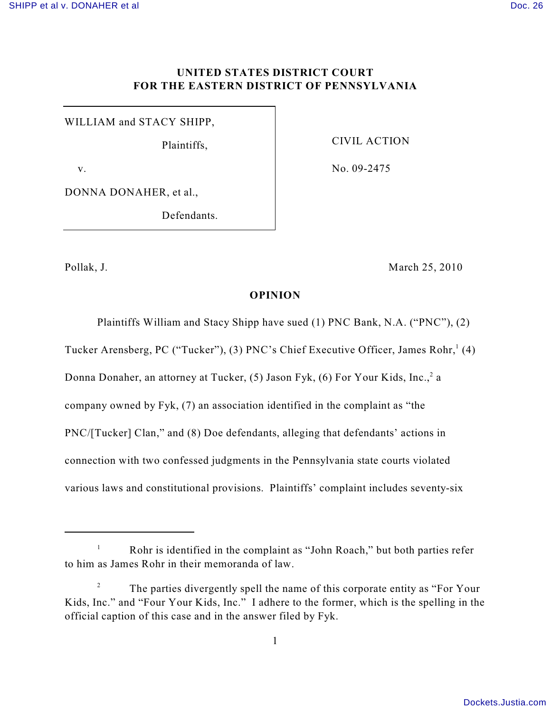# **UNITED STATES DISTRICT COURT FOR THE EASTERN DISTRICT OF PENNSYLVANIA**

WILLIAM and STACY SHIPP,

Plaintiffs,

CIVIL ACTION

No. 09-2475

v.

DONNA DONAHER, et al.,

Defendants.

Pollak, J. March 25, 2010

### **OPINION**

Plaintiffs William and Stacy Shipp have sued (1) PNC Bank, N.A. ("PNC"), (2)

Tucker Arensberg, PC ("Tucker"), (3) PNC's Chief Executive Officer, James Rohr,  $(4)$ 

Donna Donaher, an attorney at Tucker,  $(5)$  Jason Fyk,  $(6)$  For Your Kids, Inc.,  $2a$ 

company owned by Fyk, (7) an association identified in the complaint as "the

PNC/[Tucker] Clan," and (8) Doe defendants, alleging that defendants' actions in

connection with two confessed judgments in the Pennsylvania state courts violated

various laws and constitutional provisions. Plaintiffs' complaint includes seventy-six

Rohr is identified in the complaint as "John Roach," but both parties refer 1 to him as James Rohr in their memoranda of law.

The parties divergently spell the name of this corporate entity as "For Your <sup>2</sup> Kids, Inc." and "Four Your Kids, Inc." I adhere to the former, which is the spelling in the official caption of this case and in the answer filed by Fyk.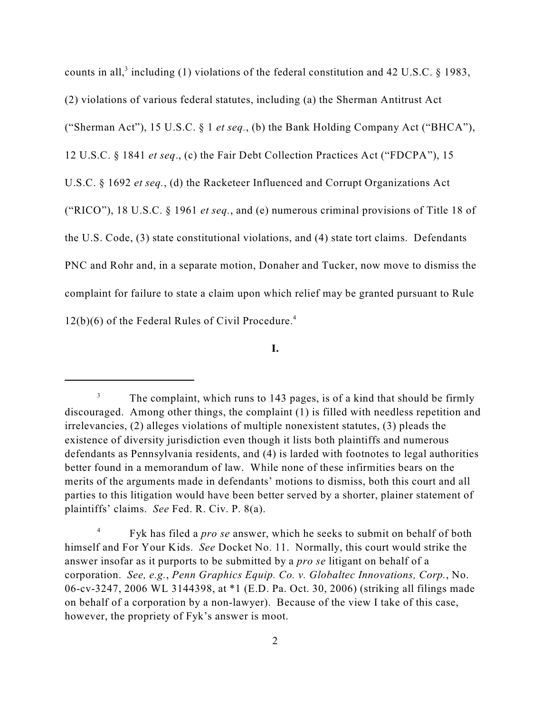counts in all,<sup>3</sup> including (1) violations of the federal constitution and 42 U.S.C.  $\&$  1983, (2) violations of various federal statutes, including (a) the Sherman Antitrust Act ("Sherman Act"), 15 U.S.C. § 1 *et seq.*, (b) the Bank Holding Company Act ("BHCA"), 12 U.S.C. § 1841 *et seq*., (c) the Fair Debt Collection Practices Act ("FDCPA"), 15 U.S.C. § 1692 *et seq.*, (d) the Racketeer Influenced and Corrupt Organizations Act ("RICO"), 18 U.S.C. § 1961 *et seq.*, and (e) numerous criminal provisions of Title 18 of the U.S. Code, (3) state constitutional violations, and (4) state tort claims. Defendants PNC and Rohr and, in a separate motion, Donaher and Tucker, now move to dismiss the complaint for failure to state a claim upon which relief may be granted pursuant to Rule  $12(b)(6)$  of the Federal Rules of Civil Procedure.<sup>4</sup>

**I.**

 $\frac{3}{10}$  The complaint, which runs to 143 pages, is of a kind that should be firmly discouraged. Among other things, the complaint (1) is filled with needless repetition and irrelevancies, (2) alleges violations of multiple nonexistent statutes, (3) pleads the existence of diversity jurisdiction even though it lists both plaintiffs and numerous defendants as Pennsylvania residents, and (4) is larded with footnotes to legal authorities better found in a memorandum of law. While none of these infirmities bears on the merits of the arguments made in defendants' motions to dismiss, both this court and all parties to this litigation would have been better served by a shorter, plainer statement of plaintiffs' claims. *See* Fed. R. Civ. P. 8(a).

Fyk has filed a *pro se* answer, which he seeks to submit on behalf of both <sup>4</sup> himself and For Your Kids. *See* Docket No. 11. Normally, this court would strike the answer insofar as it purports to be submitted by a *pro se* litigant on behalf of a corporation. *See, e.g.*, *Penn Graphics Equip. Co. v. Globaltec Innovations, Corp.*, No. 06-cv-3247, 2006 WL 3144398, at \*1 (E.D. Pa. Oct. 30, 2006) (striking all filings made on behalf of a corporation by a non-lawyer). Because of the view I take of this case, however, the propriety of Fyk's answer is moot.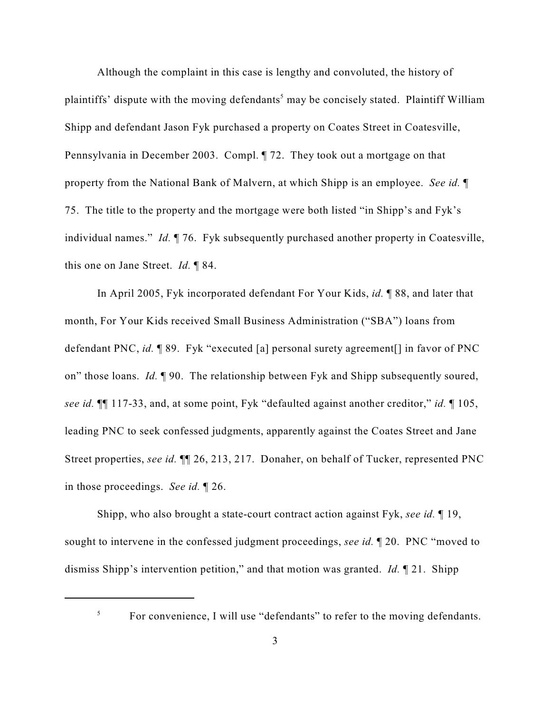Although the complaint in this case is lengthy and convoluted, the history of plaintiffs' dispute with the moving defendants<sup>5</sup> may be concisely stated. Plaintiff William Shipp and defendant Jason Fyk purchased a property on Coates Street in Coatesville, Pennsylvania in December 2003. Compl. ¶ 72. They took out a mortgage on that property from the National Bank of Malvern, at which Shipp is an employee. *See id.* ¶ 75. The title to the property and the mortgage were both listed "in Shipp's and Fyk's individual names." *Id.* ¶ 76. Fyk subsequently purchased another property in Coatesville, this one on Jane Street. *Id.* ¶ 84.

In April 2005, Fyk incorporated defendant For Your Kids, *id.* ¶ 88, and later that month, For Your Kids received Small Business Administration ("SBA") loans from defendant PNC, *id.* ¶ 89. Fyk "executed [a] personal surety agreement[] in favor of PNC on" those loans. *Id.* ¶ 90. The relationship between Fyk and Shipp subsequently soured, *see id.* ¶¶ 117-33, and, at some point, Fyk "defaulted against another creditor," *id.* ¶ 105, leading PNC to seek confessed judgments, apparently against the Coates Street and Jane Street properties, *see id.* ¶¶ 26, 213, 217. Donaher, on behalf of Tucker, represented PNC in those proceedings. *See id.* ¶ 26.

Shipp, who also brought a state-court contract action against Fyk, *see id.* ¶ 19, sought to intervene in the confessed judgment proceedings, *see id.* ¶ 20. PNC "moved to dismiss Shipp's intervention petition," and that motion was granted. *Id.* ¶ 21. Shipp

5

For convenience, I will use "defendants" to refer to the moving defendants.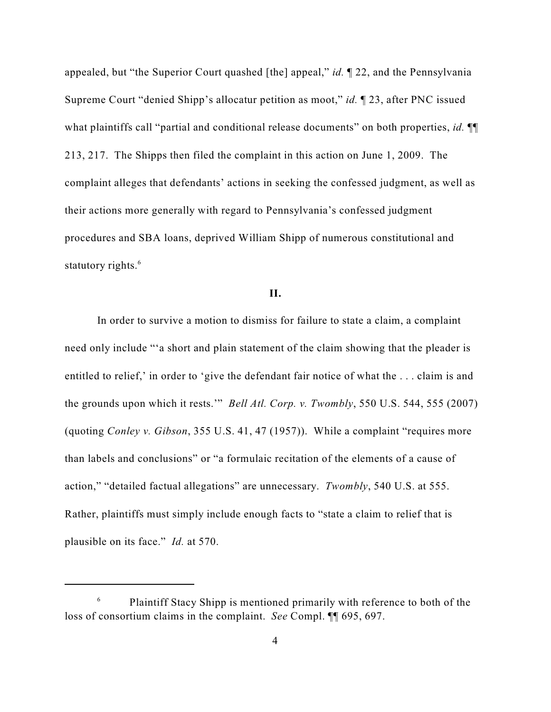appealed, but "the Superior Court quashed [the] appeal," *id.* ¶ 22, and the Pennsylvania Supreme Court "denied Shipp's allocatur petition as moot," *id.* ¶ 23, after PNC issued what plaintiffs call "partial and conditional release documents" on both properties, *id.* ¶¶ 213, 217. The Shipps then filed the complaint in this action on June 1, 2009. The complaint alleges that defendants' actions in seeking the confessed judgment, as well as their actions more generally with regard to Pennsylvania's confessed judgment procedures and SBA loans, deprived William Shipp of numerous constitutional and statutory rights.<sup>6</sup>

# **II.**

In order to survive a motion to dismiss for failure to state a claim, a complaint need only include "'a short and plain statement of the claim showing that the pleader is entitled to relief,' in order to 'give the defendant fair notice of what the . . . claim is and the grounds upon which it rests.'" *Bell Atl. Corp. v. Twombly*, 550 U.S. 544, 555 (2007) (quoting *Conley v. Gibson*, 355 U.S. 41, 47 (1957)). While a complaint "requires more than labels and conclusions" or "a formulaic recitation of the elements of a cause of action," "detailed factual allegations" are unnecessary. *Twombly*, 540 U.S. at 555. Rather, plaintiffs must simply include enough facts to "state a claim to relief that is plausible on its face." *Id.* at 570.

 $\epsilon$  Plaintiff Stacy Shipp is mentioned primarily with reference to both of the loss of consortium claims in the complaint. *See* Compl. ¶¶ 695, 697.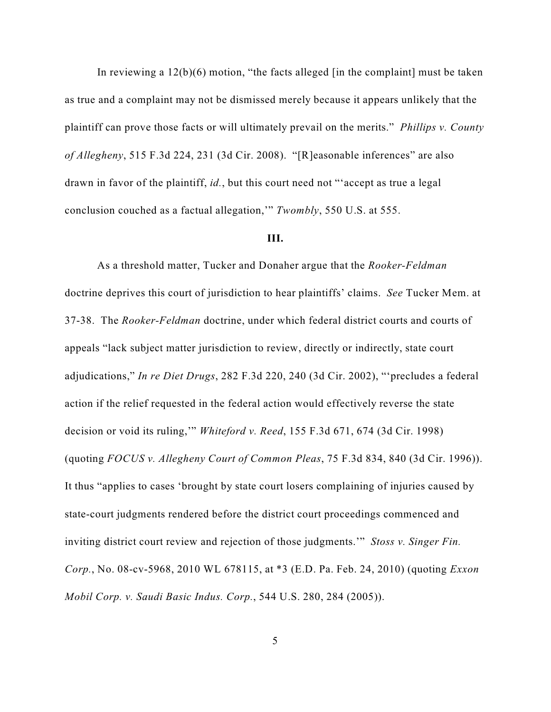In reviewing a  $12(b)(6)$  motion, "the facts alleged [in the complaint] must be taken as true and a complaint may not be dismissed merely because it appears unlikely that the plaintiff can prove those facts or will ultimately prevail on the merits." *Phillips v. County of Allegheny*, 515 F.3d 224, 231 (3d Cir. 2008). "[R]easonable inferences" are also drawn in favor of the plaintiff, *id.*, but this court need not "'accept as true a legal conclusion couched as a factual allegation,'" *Twombly*, 550 U.S. at 555.

# **III.**

As a threshold matter, Tucker and Donaher argue that the *Rooker-Feldman* doctrine deprives this court of jurisdiction to hear plaintiffs' claims. *See* Tucker Mem. at 37-38. The *Rooker-Feldman* doctrine, under which federal district courts and courts of appeals "lack subject matter jurisdiction to review, directly or indirectly, state court adjudications," *In re Diet Drugs*, 282 F.3d 220, 240 (3d Cir. 2002), "'precludes a federal action if the relief requested in the federal action would effectively reverse the state decision or void its ruling,'" *Whiteford v. Reed*, 155 F.3d 671, 674 (3d Cir. 1998) (quoting *FOCUS v. Allegheny Court of Common Pleas*, 75 F.3d 834, 840 (3d Cir. 1996)). It thus "applies to cases 'brought by state court losers complaining of injuries caused by state-court judgments rendered before the district court proceedings commenced and inviting district court review and rejection of those judgments.'" *Stoss v. Singer Fin. Corp.*, No. 08-cv-5968, 2010 WL 678115, at \*3 (E.D. Pa. Feb. 24, 2010) (quoting *Exxon Mobil Corp. v. Saudi Basic Indus. Corp.*, 544 U.S. 280, 284 (2005)).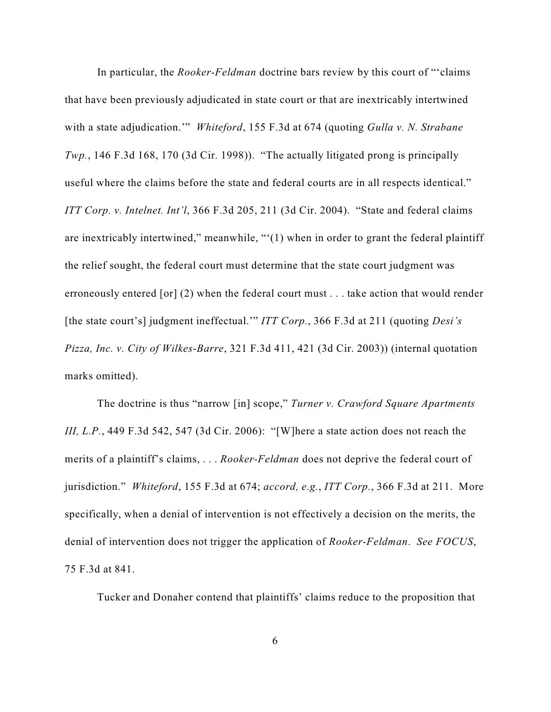In particular, the *Rooker-Feldman* doctrine bars review by this court of "'claims that have been previously adjudicated in state court or that are inextricably intertwined with a state adjudication.'" *Whiteford*, 155 F.3d at 674 (quoting *Gulla v. N. Strabane Twp.*, 146 F.3d 168, 170 (3d Cir. 1998)). "The actually litigated prong is principally useful where the claims before the state and federal courts are in all respects identical." *ITT Corp. v. Intelnet. Int'l*, 366 F.3d 205, 211 (3d Cir. 2004). "State and federal claims are inextricably intertwined," meanwhile, "'(1) when in order to grant the federal plaintiff the relief sought, the federal court must determine that the state court judgment was erroneously entered [or] (2) when the federal court must . . . take action that would render [the state court's] judgment ineffectual.'" *ITT Corp.*, 366 F.3d at 211 (quoting *Desi's Pizza, Inc. v. City of Wilkes-Barre*, 321 F.3d 411, 421 (3d Cir. 2003)) (internal quotation marks omitted).

The doctrine is thus "narrow [in] scope," *Turner v. Crawford Square Apartments III, L.P.*, 449 F.3d 542, 547 (3d Cir. 2006): "[W]here a state action does not reach the merits of a plaintiff's claims, . . . *Rooker-Feldman* does not deprive the federal court of jurisdiction." *Whiteford*, 155 F.3d at 674; *accord, e.g.*, *ITT Corp.*, 366 F.3d at 211. More specifically, when a denial of intervention is not effectively a decision on the merits, the denial of intervention does not trigger the application of *Rooker-Feldman*. *See FOCUS*, 75 F.3d at 841.

Tucker and Donaher contend that plaintiffs' claims reduce to the proposition that

6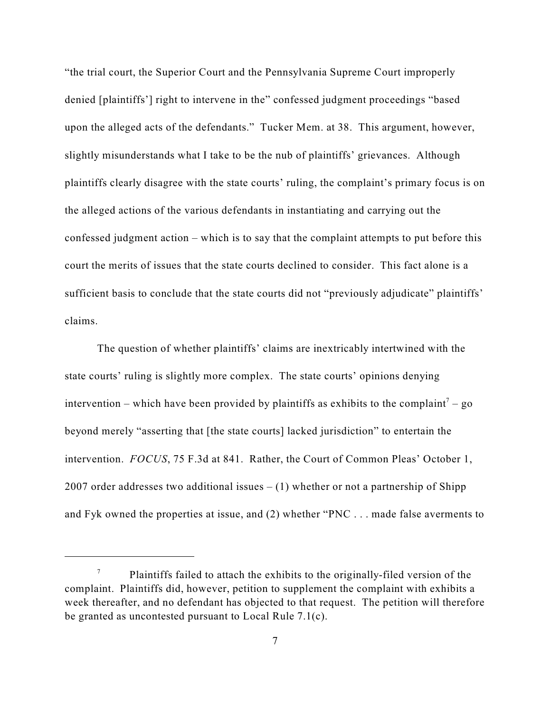"the trial court, the Superior Court and the Pennsylvania Supreme Court improperly denied [plaintiffs'] right to intervene in the" confessed judgment proceedings "based upon the alleged acts of the defendants." Tucker Mem. at 38. This argument, however, slightly misunderstands what I take to be the nub of plaintiffs' grievances. Although plaintiffs clearly disagree with the state courts' ruling, the complaint's primary focus is on the alleged actions of the various defendants in instantiating and carrying out the confessed judgment action – which is to say that the complaint attempts to put before this court the merits of issues that the state courts declined to consider. This fact alone is a sufficient basis to conclude that the state courts did not "previously adjudicate" plaintiffs' claims.

The question of whether plaintiffs' claims are inextricably intertwined with the state courts' ruling is slightly more complex. The state courts' opinions denying intervention – which have been provided by plaintiffs as exhibits to the complaint<sup>7</sup> – go beyond merely "asserting that [the state courts] lacked jurisdiction" to entertain the intervention. *FOCUS*, 75 F.3d at 841. Rather, the Court of Common Pleas' October 1, 2007 order addresses two additional issues  $- (1)$  whether or not a partnership of Shipp and Fyk owned the properties at issue, and (2) whether "PNC . . . made false averments to

Plaintiffs failed to attach the exhibits to the originally-filed version of the complaint. Plaintiffs did, however, petition to supplement the complaint with exhibits a week thereafter, and no defendant has objected to that request. The petition will therefore be granted as uncontested pursuant to Local Rule 7.1(c).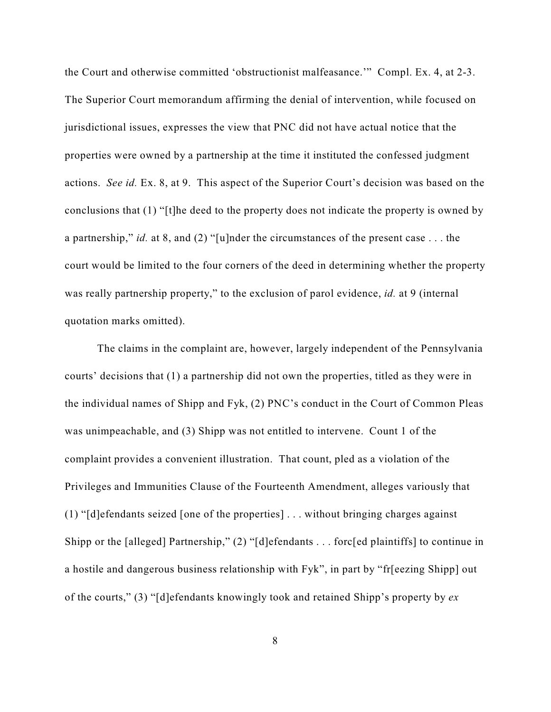the Court and otherwise committed 'obstructionist malfeasance.'" Compl. Ex. 4, at 2-3. The Superior Court memorandum affirming the denial of intervention, while focused on jurisdictional issues, expresses the view that PNC did not have actual notice that the properties were owned by a partnership at the time it instituted the confessed judgment actions. *See id.* Ex. 8, at 9. This aspect of the Superior Court's decision was based on the conclusions that (1) "[t]he deed to the property does not indicate the property is owned by a partnership," *id.* at 8, and (2) "[u]nder the circumstances of the present case . . . the court would be limited to the four corners of the deed in determining whether the property was really partnership property," to the exclusion of parol evidence, *id.* at 9 (internal quotation marks omitted).

The claims in the complaint are, however, largely independent of the Pennsylvania courts' decisions that (1) a partnership did not own the properties, titled as they were in the individual names of Shipp and Fyk, (2) PNC's conduct in the Court of Common Pleas was unimpeachable, and (3) Shipp was not entitled to intervene. Count 1 of the complaint provides a convenient illustration. That count, pled as a violation of the Privileges and Immunities Clause of the Fourteenth Amendment, alleges variously that (1) "[d]efendants seized [one of the properties] . . . without bringing charges against Shipp or the [alleged] Partnership," (2) "[d]efendants . . . forc[ed plaintiffs] to continue in a hostile and dangerous business relationship with Fyk", in part by "fr[eezing Shipp] out of the courts," (3) "[d]efendants knowingly took and retained Shipp's property by *ex*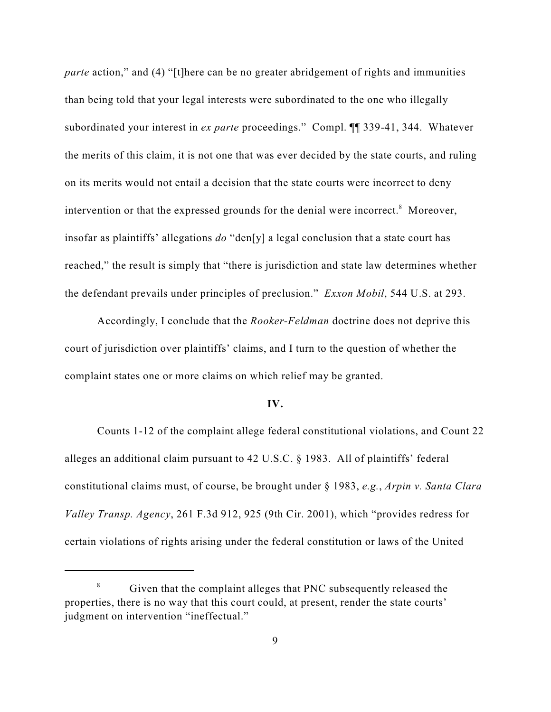*parte* action," and (4) "[t]here can be no greater abridgement of rights and immunities than being told that your legal interests were subordinated to the one who illegally subordinated your interest in *ex parte* proceedings." Compl. ¶¶ 339-41, 344. Whatever the merits of this claim, it is not one that was ever decided by the state courts, and ruling on its merits would not entail a decision that the state courts were incorrect to deny intervention or that the expressed grounds for the denial were incorrect.<sup>8</sup> Moreover, insofar as plaintiffs' allegations *do* "den[y] a legal conclusion that a state court has reached," the result is simply that "there is jurisdiction and state law determines whether the defendant prevails under principles of preclusion." *Exxon Mobil*, 544 U.S. at 293.

Accordingly, I conclude that the *Rooker-Feldman* doctrine does not deprive this court of jurisdiction over plaintiffs' claims, and I turn to the question of whether the complaint states one or more claims on which relief may be granted.

### **IV.**

Counts 1-12 of the complaint allege federal constitutional violations, and Count 22 alleges an additional claim pursuant to 42 U.S.C. § 1983. All of plaintiffs' federal constitutional claims must, of course, be brought under § 1983, *e.g.*, *Arpin v. Santa Clara Valley Transp. Agency*, 261 F.3d 912, 925 (9th Cir. 2001), which "provides redress for certain violations of rights arising under the federal constitution or laws of the United

<sup>&</sup>lt;sup>8</sup> Given that the complaint alleges that PNC subsequently released the properties, there is no way that this court could, at present, render the state courts' judgment on intervention "ineffectual."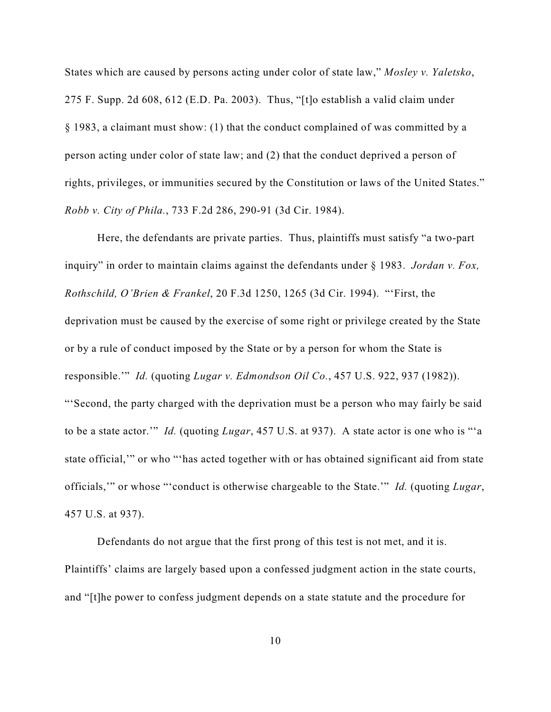States which are caused by persons acting under color of state law," *Mosley v. Yaletsko*, 275 F. Supp. 2d 608, 612 (E.D. Pa. 2003). Thus, "[t]o establish a valid claim under § 1983, a claimant must show: (1) that the conduct complained of was committed by a person acting under color of state law; and (2) that the conduct deprived a person of rights, privileges, or immunities secured by the Constitution or laws of the United States." *Robb v. City of Phila.*, 733 F.2d 286, 290-91 (3d Cir. 1984).

Here, the defendants are private parties. Thus, plaintiffs must satisfy "a two-part inquiry" in order to maintain claims against the defendants under § 1983. *Jordan v. Fox, Rothschild, O'Brien & Frankel*, 20 F.3d 1250, 1265 (3d Cir. 1994). "'First, the deprivation must be caused by the exercise of some right or privilege created by the State or by a rule of conduct imposed by the State or by a person for whom the State is responsible.'" *Id.* (quoting *Lugar v. Edmondson Oil Co.*, 457 U.S. 922, 937 (1982)). "'Second, the party charged with the deprivation must be a person who may fairly be said to be a state actor.'" *Id.* (quoting *Lugar*, 457 U.S. at 937). A state actor is one who is "'a state official,'" or who "'has acted together with or has obtained significant aid from state officials,'" or whose "'conduct is otherwise chargeable to the State.'" *Id.* (quoting *Lugar*, 457 U.S. at 937).

Defendants do not argue that the first prong of this test is not met, and it is. Plaintiffs' claims are largely based upon a confessed judgment action in the state courts, and "[t]he power to confess judgment depends on a state statute and the procedure for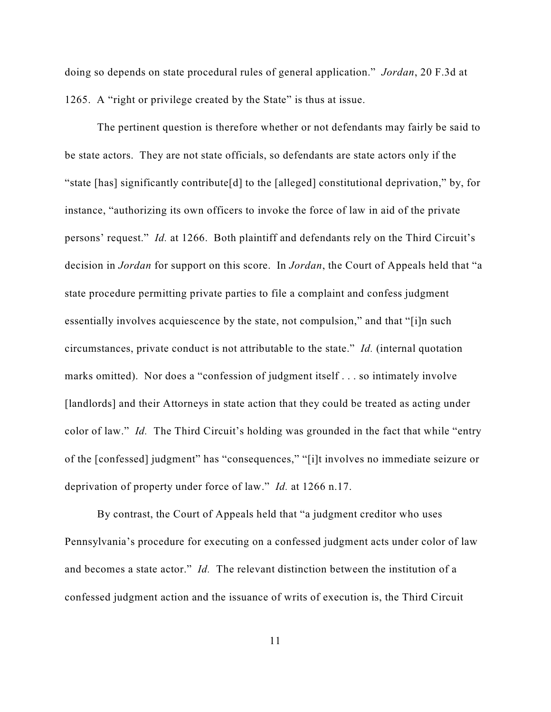doing so depends on state procedural rules of general application." *Jordan*, 20 F.3d at 1265. A "right or privilege created by the State" is thus at issue.

The pertinent question is therefore whether or not defendants may fairly be said to be state actors. They are not state officials, so defendants are state actors only if the "state [has] significantly contribute[d] to the [alleged] constitutional deprivation," by, for instance, "authorizing its own officers to invoke the force of law in aid of the private persons' request." *Id.* at 1266. Both plaintiff and defendants rely on the Third Circuit's decision in *Jordan* for support on this score. In *Jordan*, the Court of Appeals held that "a state procedure permitting private parties to file a complaint and confess judgment essentially involves acquiescence by the state, not compulsion," and that "[i]n such circumstances, private conduct is not attributable to the state." *Id.* (internal quotation marks omitted). Nor does a "confession of judgment itself . . . so intimately involve [landlords] and their Attorneys in state action that they could be treated as acting under color of law." *Id.* The Third Circuit's holding was grounded in the fact that while "entry" of the [confessed] judgment" has "consequences," "[i]t involves no immediate seizure or deprivation of property under force of law." *Id.* at 1266 n.17.

By contrast, the Court of Appeals held that "a judgment creditor who uses Pennsylvania's procedure for executing on a confessed judgment acts under color of law and becomes a state actor." *Id.* The relevant distinction between the institution of a confessed judgment action and the issuance of writs of execution is, the Third Circuit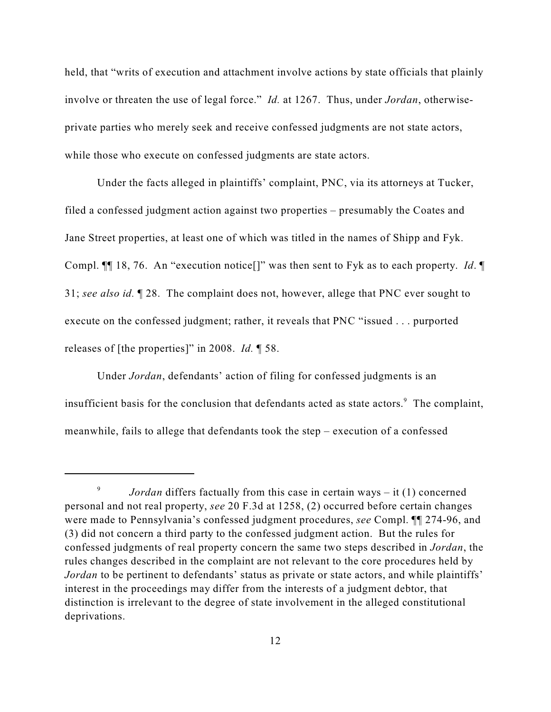held, that "writs of execution and attachment involve actions by state officials that plainly involve or threaten the use of legal force." *Id.* at 1267. Thus, under *Jordan*, otherwiseprivate parties who merely seek and receive confessed judgments are not state actors, while those who execute on confessed judgments are state actors.

Under the facts alleged in plaintiffs' complaint, PNC, via its attorneys at Tucker, filed a confessed judgment action against two properties – presumably the Coates and Jane Street properties, at least one of which was titled in the names of Shipp and Fyk. Compl. ¶¶ 18, 76. An "execution notice[]" was then sent to Fyk as to each property. *Id*. ¶ 31; *see also id.* ¶ 28. The complaint does not, however, allege that PNC ever sought to execute on the confessed judgment; rather, it reveals that PNC "issued . . . purported releases of [the properties]" in 2008. *Id.* ¶ 58.

Under *Jordan*, defendants' action of filing for confessed judgments is an insufficient basis for the conclusion that defendants acted as state actors. $\degree$  The complaint, meanwhile, fails to allege that defendants took the step – execution of a confessed

<sup>&</sup>lt;sup>9</sup> *Jordan* differs factually from this case in certain ways – it (1) concerned personal and not real property, *see* 20 F.3d at 1258, (2) occurred before certain changes were made to Pennsylvania's confessed judgment procedures, *see* Compl. ¶¶ 274-96, and (3) did not concern a third party to the confessed judgment action. But the rules for confessed judgments of real property concern the same two steps described in *Jordan*, the rules changes described in the complaint are not relevant to the core procedures held by *Jordan* to be pertinent to defendants' status as private or state actors, and while plaintiffs' interest in the proceedings may differ from the interests of a judgment debtor, that distinction is irrelevant to the degree of state involvement in the alleged constitutional deprivations.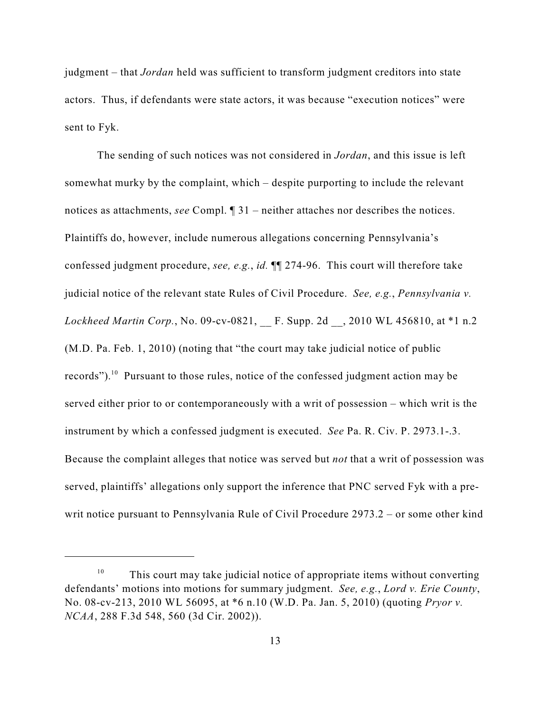judgment – that *Jordan* held was sufficient to transform judgment creditors into state actors. Thus, if defendants were state actors, it was because "execution notices" were sent to Fyk.

The sending of such notices was not considered in *Jordan*, and this issue is left somewhat murky by the complaint, which – despite purporting to include the relevant notices as attachments, *see* Compl. ¶ 31 – neither attaches nor describes the notices. Plaintiffs do, however, include numerous allegations concerning Pennsylvania's confessed judgment procedure, *see, e.g.*, *id.* ¶¶ 274-96. This court will therefore take judicial notice of the relevant state Rules of Civil Procedure. *See, e.g.*, *Pennsylvania v. Lockheed Martin Corp.*, No. 09-cv-0821, \_\_ F. Supp. 2d \_\_, 2010 WL 456810, at \*1 n.2 (M.D. Pa. Feb. 1, 2010) (noting that "the court may take judicial notice of public records"). <sup>10</sup> Pursuant to those rules, notice of the confessed judgment action may be served either prior to or contemporaneously with a writ of possession – which writ is the instrument by which a confessed judgment is executed. *See* Pa. R. Civ. P. 2973.1-.3. Because the complaint alleges that notice was served but *not* that a writ of possession was served, plaintiffs' allegations only support the inference that PNC served Fyk with a prewrit notice pursuant to Pennsylvania Rule of Civil Procedure 2973.2 – or some other kind

 $10$  This court may take judicial notice of appropriate items without converting defendants' motions into motions for summary judgment. *See, e.g.*, *Lord v. Erie County*, No. 08-cv-213, 2010 WL 56095, at \*6 n.10 (W.D. Pa. Jan. 5, 2010) (quoting *Pryor v. NCAA*, 288 F.3d 548, 560 (3d Cir. 2002)).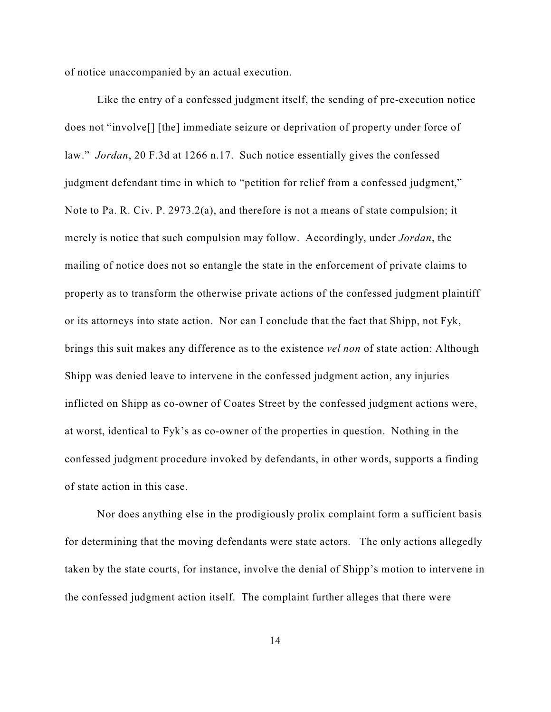of notice unaccompanied by an actual execution.

Like the entry of a confessed judgment itself, the sending of pre-execution notice does not "involve[] [the] immediate seizure or deprivation of property under force of law." *Jordan*, 20 F.3d at 1266 n.17. Such notice essentially gives the confessed judgment defendant time in which to "petition for relief from a confessed judgment," Note to Pa. R. Civ. P. 2973.2(a), and therefore is not a means of state compulsion; it merely is notice that such compulsion may follow. Accordingly, under *Jordan*, the mailing of notice does not so entangle the state in the enforcement of private claims to property as to transform the otherwise private actions of the confessed judgment plaintiff or its attorneys into state action. Nor can I conclude that the fact that Shipp, not Fyk, brings this suit makes any difference as to the existence *vel non* of state action: Although Shipp was denied leave to intervene in the confessed judgment action, any injuries inflicted on Shipp as co-owner of Coates Street by the confessed judgment actions were, at worst, identical to Fyk's as co-owner of the properties in question. Nothing in the confessed judgment procedure invoked by defendants, in other words, supports a finding of state action in this case.

Nor does anything else in the prodigiously prolix complaint form a sufficient basis for determining that the moving defendants were state actors. The only actions allegedly taken by the state courts, for instance, involve the denial of Shipp's motion to intervene in the confessed judgment action itself. The complaint further alleges that there were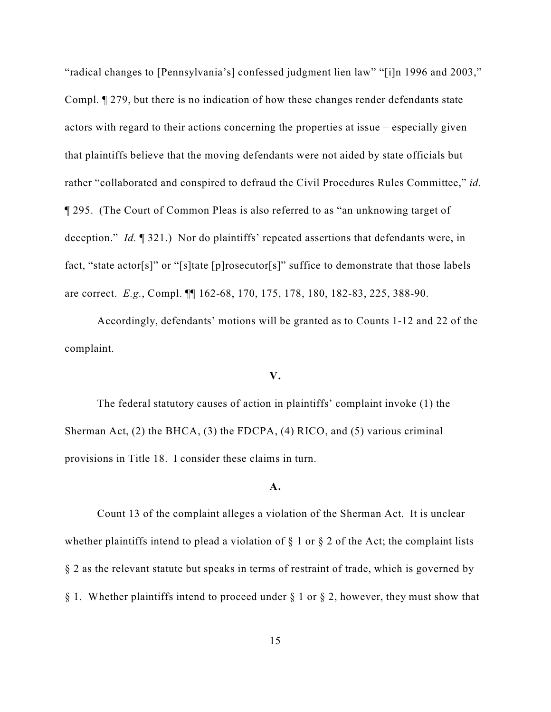"radical changes to [Pennsylvania's] confessed judgment lien law" "[i]n 1996 and 2003," Compl. ¶ 279, but there is no indication of how these changes render defendants state actors with regard to their actions concerning the properties at issue – especially given that plaintiffs believe that the moving defendants were not aided by state officials but rather "collaborated and conspired to defraud the Civil Procedures Rules Committee," *id.* ¶ 295. (The Court of Common Pleas is also referred to as "an unknowing target of deception." *Id.* ¶ 321.) Nor do plaintiffs' repeated assertions that defendants were, in fact, "state actor[s]" or "[s]tate [p]rosecutor[s]" suffice to demonstrate that those labels are correct. *E.g.*, Compl. ¶¶ 162-68, 170, 175, 178, 180, 182-83, 225, 388-90.

Accordingly, defendants' motions will be granted as to Counts 1-12 and 22 of the complaint.

### **V.**

The federal statutory causes of action in plaintiffs' complaint invoke (1) the Sherman Act, (2) the BHCA, (3) the FDCPA, (4) RICO, and (5) various criminal provisions in Title 18. I consider these claims in turn.

### **A.**

Count 13 of the complaint alleges a violation of the Sherman Act. It is unclear whether plaintiffs intend to plead a violation of  $\S$  1 or  $\S$  2 of the Act; the complaint lists § 2 as the relevant statute but speaks in terms of restraint of trade, which is governed by § 1. Whether plaintiffs intend to proceed under § 1 or § 2, however, they must show that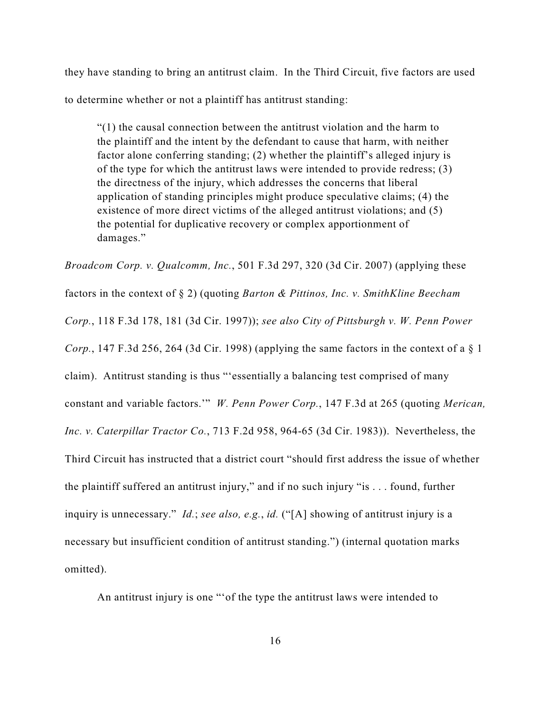they have standing to bring an antitrust claim. In the Third Circuit, five factors are used to determine whether or not a plaintiff has antitrust standing:

"(1) the causal connection between the antitrust violation and the harm to the plaintiff and the intent by the defendant to cause that harm, with neither factor alone conferring standing; (2) whether the plaintiff's alleged injury is of the type for which the antitrust laws were intended to provide redress; (3) the directness of the injury, which addresses the concerns that liberal application of standing principles might produce speculative claims; (4) the existence of more direct victims of the alleged antitrust violations; and (5) the potential for duplicative recovery or complex apportionment of damages."

*Broadcom Corp. v. Qualcomm, Inc.*, 501 F.3d 297, 320 (3d Cir. 2007) (applying these factors in the context of § 2) (quoting *Barton & Pittinos, Inc. v. SmithKline Beecham Corp.*, 118 F.3d 178, 181 (3d Cir. 1997)); *see also City of Pittsburgh v. W. Penn Power Corp.*, 147 F.3d 256, 264 (3d Cir. 1998) (applying the same factors in the context of a § 1 claim). Antitrust standing is thus "'essentially a balancing test comprised of many constant and variable factors.'" *W. Penn Power Corp.*, 147 F.3d at 265 (quoting *Merican, Inc. v. Caterpillar Tractor Co.*, 713 F.2d 958, 964-65 (3d Cir. 1983)). Nevertheless, the Third Circuit has instructed that a district court "should first address the issue of whether the plaintiff suffered an antitrust injury," and if no such injury "is . . . found, further inquiry is unnecessary." *Id.*; *see also, e.g.*, *id.* ("[A] showing of antitrust injury is a necessary but insufficient condition of antitrust standing.") (internal quotation marks omitted).

An antitrust injury is one "'of the type the antitrust laws were intended to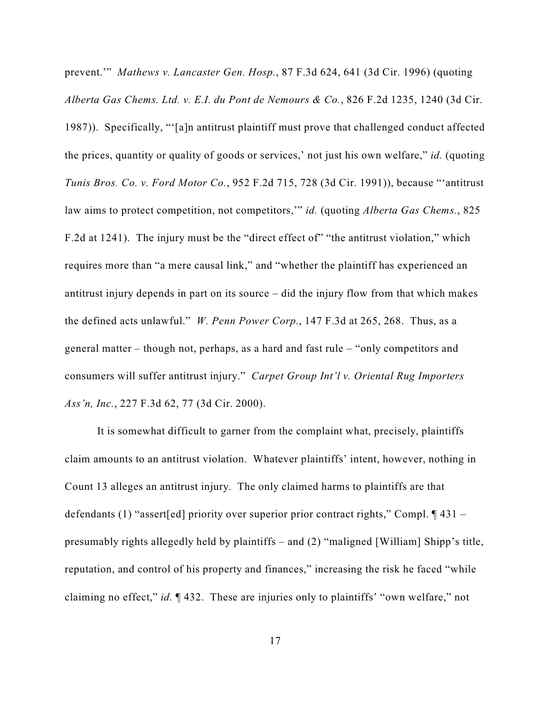prevent.'" *Mathews v. Lancaster Gen. Hosp.*, 87 F.3d 624, 641 (3d Cir. 1996) (quoting *Alberta Gas Chems. Ltd. v. E.I. du Pont de Nemours & Co.*, 826 F.2d 1235, 1240 (3d Cir. 1987)). Specifically, "'[a]n antitrust plaintiff must prove that challenged conduct affected the prices, quantity or quality of goods or services,' not just his own welfare," *id.* (quoting *Tunis Bros. Co. v. Ford Motor Co.*, 952 F.2d 715, 728 (3d Cir. 1991)), because "'antitrust law aims to protect competition, not competitors,'" *id.* (quoting *Alberta Gas Chems.*, 825 F.2d at 1241). The injury must be the "direct effect of" "the antitrust violation," which requires more than "a mere causal link," and "whether the plaintiff has experienced an antitrust injury depends in part on its source – did the injury flow from that which makes the defined acts unlawful." *W. Penn Power Corp.*, 147 F.3d at 265, 268. Thus, as a general matter – though not, perhaps, as a hard and fast rule – "only competitors and consumers will suffer antitrust injury." *Carpet Group Int'l v. Oriental Rug Importers Ass'n, Inc.*, 227 F.3d 62, 77 (3d Cir. 2000).

It is somewhat difficult to garner from the complaint what, precisely, plaintiffs claim amounts to an antitrust violation. Whatever plaintiffs' intent, however, nothing in Count 13 alleges an antitrust injury. The only claimed harms to plaintiffs are that defendants (1) "assert[ed] priority over superior prior contract rights," Compl. ¶ 431 – presumably rights allegedly held by plaintiffs – and (2) "maligned [William] Shipp's title, reputation, and control of his property and finances," increasing the risk he faced "while claiming no effect," *id.* ¶ 432. These are injuries only to plaintiffs' "own welfare," not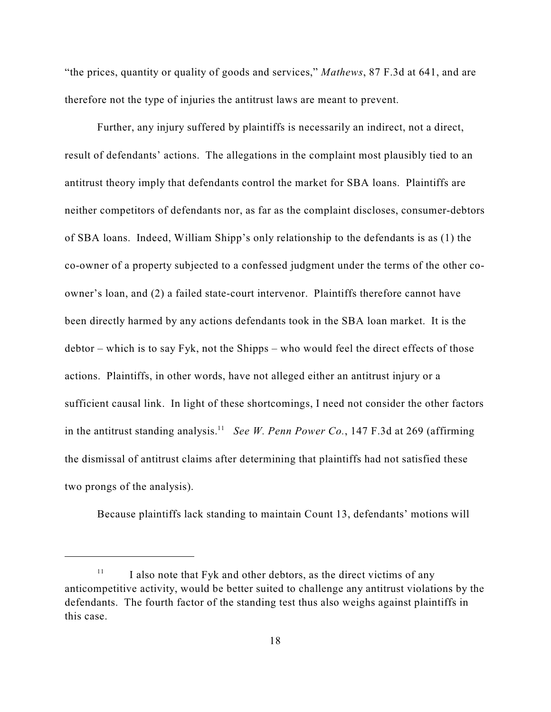"the prices, quantity or quality of goods and services," *Mathews*, 87 F.3d at 641, and are therefore not the type of injuries the antitrust laws are meant to prevent.

Further, any injury suffered by plaintiffs is necessarily an indirect, not a direct, result of defendants' actions. The allegations in the complaint most plausibly tied to an antitrust theory imply that defendants control the market for SBA loans. Plaintiffs are neither competitors of defendants nor, as far as the complaint discloses, consumer-debtors of SBA loans. Indeed, William Shipp's only relationship to the defendants is as (1) the co-owner of a property subjected to a confessed judgment under the terms of the other coowner's loan, and (2) a failed state-court intervenor. Plaintiffs therefore cannot have been directly harmed by any actions defendants took in the SBA loan market. It is the debtor – which is to say Fyk, not the Shipps – who would feel the direct effects of those actions. Plaintiffs, in other words, have not alleged either an antitrust injury or a sufficient causal link. In light of these shortcomings, I need not consider the other factors in the antitrust standing analysis.<sup>11</sup> See W. Penn Power Co., 147 F.3d at 269 (affirming the dismissal of antitrust claims after determining that plaintiffs had not satisfied these two prongs of the analysis).

Because plaintiffs lack standing to maintain Count 13, defendants' motions will

 $\frac{11}{11}$  I also note that Fyk and other debtors, as the direct victims of any anticompetitive activity, would be better suited to challenge any antitrust violations by the defendants. The fourth factor of the standing test thus also weighs against plaintiffs in this case.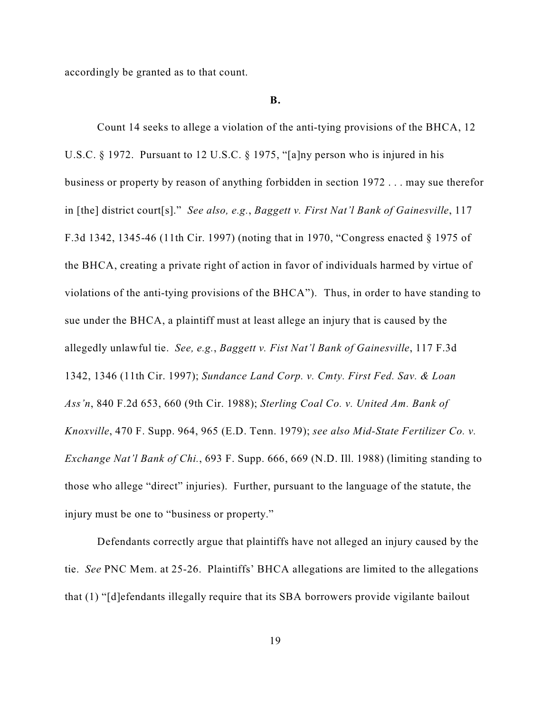accordingly be granted as to that count.

#### **B.**

Count 14 seeks to allege a violation of the anti-tying provisions of the BHCA, 12 U.S.C. § 1972. Pursuant to 12 U.S.C. § 1975, "[a]ny person who is injured in his business or property by reason of anything forbidden in section 1972 . . . may sue therefor in [the] district court[s]." *See also, e.g.*, *Baggett v. First Nat'l Bank of Gainesville*, 117 F.3d 1342, 1345-46 (11th Cir. 1997) (noting that in 1970, "Congress enacted § 1975 of the BHCA, creating a private right of action in favor of individuals harmed by virtue of violations of the anti-tying provisions of the BHCA"). Thus, in order to have standing to sue under the BHCA, a plaintiff must at least allege an injury that is caused by the allegedly unlawful tie. *See, e.g.*, *Baggett v. Fist Nat'l Bank of Gainesville*, 117 F.3d 1342, 1346 (11th Cir. 1997); *Sundance Land Corp. v. Cmty. First Fed. Sav. & Loan Ass'n*, 840 F.2d 653, 660 (9th Cir. 1988); *Sterling Coal Co. v. United Am. Bank of Knoxville*, 470 F. Supp. 964, 965 (E.D. Tenn. 1979); *see also Mid-State Fertilizer Co. v. Exchange Nat'l Bank of Chi.*, 693 F. Supp. 666, 669 (N.D. Ill. 1988) (limiting standing to those who allege "direct" injuries). Further, pursuant to the language of the statute, the injury must be one to "business or property."

Defendants correctly argue that plaintiffs have not alleged an injury caused by the tie. *See* PNC Mem. at 25-26. Plaintiffs' BHCA allegations are limited to the allegations that (1) "[d]efendants illegally require that its SBA borrowers provide vigilante bailout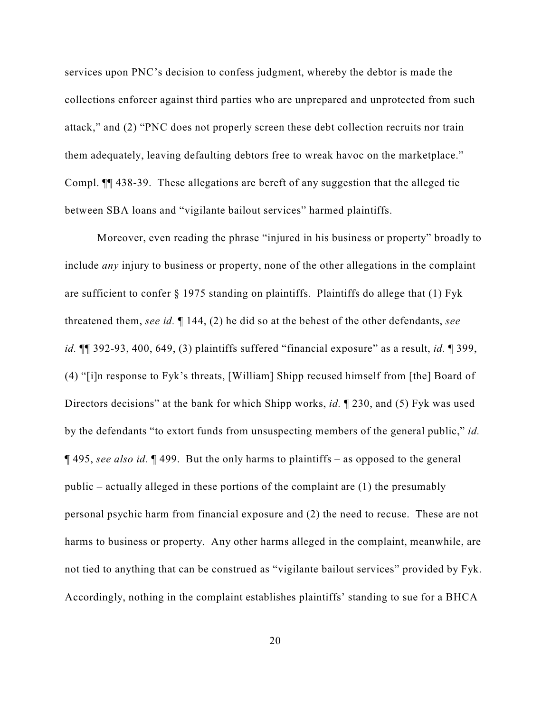services upon PNC's decision to confess judgment, whereby the debtor is made the collections enforcer against third parties who are unprepared and unprotected from such attack," and (2) "PNC does not properly screen these debt collection recruits nor train them adequately, leaving defaulting debtors free to wreak havoc on the marketplace." Compl. ¶¶ 438-39. These allegations are bereft of any suggestion that the alleged tie between SBA loans and "vigilante bailout services" harmed plaintiffs.

Moreover, even reading the phrase "injured in his business or property" broadly to include *any* injury to business or property, none of the other allegations in the complaint are sufficient to confer  $\S$  1975 standing on plaintiffs. Plaintiffs do allege that (1) Fyk threatened them, *see id.* ¶ 144, (2) he did so at the behest of the other defendants, *see id.* ¶¶ 392-93, 400, 649, (3) plaintiffs suffered "financial exposure" as a result, *id.* ¶ 399, (4) "[i]n response to Fyk's threats, [William] Shipp recused himself from [the] Board of Directors decisions" at the bank for which Shipp works, *id.* ¶ 230, and (5) Fyk was used by the defendants "to extort funds from unsuspecting members of the general public," *id.* ¶ 495, *see also id.* ¶ 499. But the only harms to plaintiffs – as opposed to the general public – actually alleged in these portions of the complaint are (1) the presumably personal psychic harm from financial exposure and (2) the need to recuse. These are not harms to business or property. Any other harms alleged in the complaint, meanwhile, are not tied to anything that can be construed as "vigilante bailout services" provided by Fyk. Accordingly, nothing in the complaint establishes plaintiffs' standing to sue for a BHCA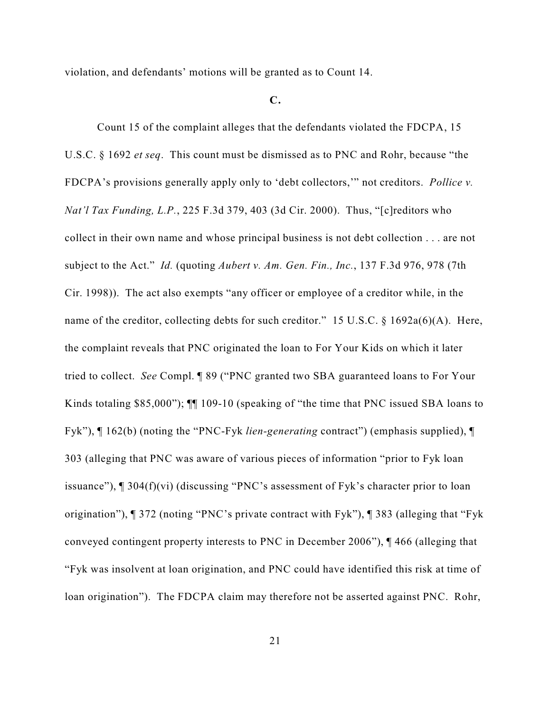violation, and defendants' motions will be granted as to Count 14.

# **C.**

Count 15 of the complaint alleges that the defendants violated the FDCPA, 15 U.S.C. § 1692 *et seq*. This count must be dismissed as to PNC and Rohr, because "the FDCPA's provisions generally apply only to 'debt collectors,'" not creditors. *Pollice v. Nat'l Tax Funding, L.P.*, 225 F.3d 379, 403 (3d Cir. 2000). Thus, "[c]reditors who collect in their own name and whose principal business is not debt collection . . . are not subject to the Act." *Id.* (quoting *Aubert v. Am. Gen. Fin., Inc.*, 137 F.3d 976, 978 (7th Cir. 1998)). The act also exempts "any officer or employee of a creditor while, in the name of the creditor, collecting debts for such creditor." 15 U.S.C. § 1692a(6)(A). Here, the complaint reveals that PNC originated the loan to For Your Kids on which it later tried to collect. *See* Compl. ¶ 89 ("PNC granted two SBA guaranteed loans to For Your Kinds totaling \$85,000"); ¶¶ 109-10 (speaking of "the time that PNC issued SBA loans to Fyk"), ¶ 162(b) (noting the "PNC-Fyk *lien-generating* contract") (emphasis supplied), ¶ 303 (alleging that PNC was aware of various pieces of information "prior to Fyk loan issuance"), ¶ 304(f)(vi) (discussing "PNC's assessment of Fyk's character prior to loan origination"), ¶ 372 (noting "PNC's private contract with Fyk"), ¶ 383 (alleging that "Fyk conveyed contingent property interests to PNC in December 2006"), ¶ 466 (alleging that "Fyk was insolvent at loan origination, and PNC could have identified this risk at time of loan origination"). The FDCPA claim may therefore not be asserted against PNC. Rohr,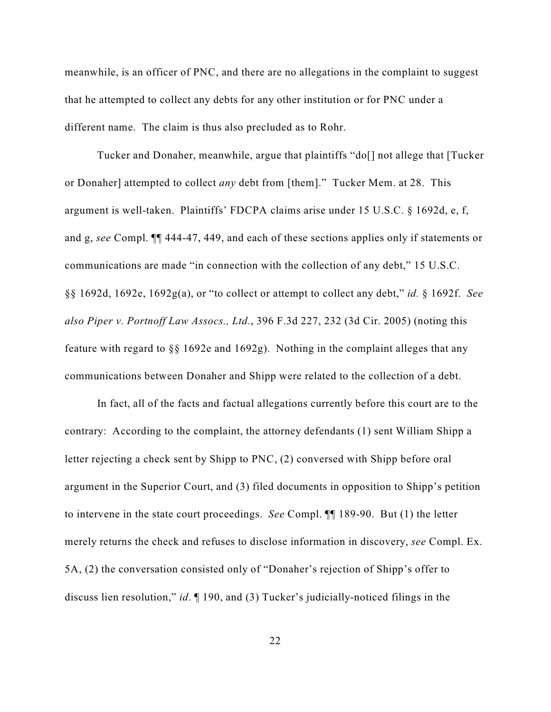meanwhile, is an officer of PNC, and there are no allegations in the complaint to suggest that he attempted to collect any debts for any other institution or for PNC under a different name. The claim is thus also precluded as to Rohr.

Tucker and Donaher, meanwhile, argue that plaintiffs "do[] not allege that [Tucker or Donaher] attempted to collect *any* debt from [them]." Tucker Mem. at 28. This argument is well-taken. Plaintiffs' FDCPA claims arise under 15 U.S.C. § 1692d, e, f, and g, *see* Compl. ¶¶ 444-47, 449, and each of these sections applies only if statements or communications are made "in connection with the collection of any debt," 15 U.S.C. §§ 1692d, 1692e, 1692g(a), or "to collect or attempt to collect any debt," *id.* § 1692f. *See also Piper v. Portnoff Law Assocs., Ltd.*, 396 F.3d 227, 232 (3d Cir. 2005) (noting this feature with regard to §§ 1692e and 1692g). Nothing in the complaint alleges that any communications between Donaher and Shipp were related to the collection of a debt.

In fact, all of the facts and factual allegations currently before this court are to the contrary: According to the complaint, the attorney defendants (1) sent William Shipp a letter rejecting a check sent by Shipp to PNC, (2) conversed with Shipp before oral argument in the Superior Court, and (3) filed documents in opposition to Shipp's petition to intervene in the state court proceedings. *See* Compl. ¶¶ 189-90. But (1) the letter merely returns the check and refuses to disclose information in discovery, *see* Compl. Ex. 5A, (2) the conversation consisted only of "Donaher's rejection of Shipp's offer to discuss lien resolution," *id*. ¶ 190, and (3) Tucker's judicially-noticed filings in the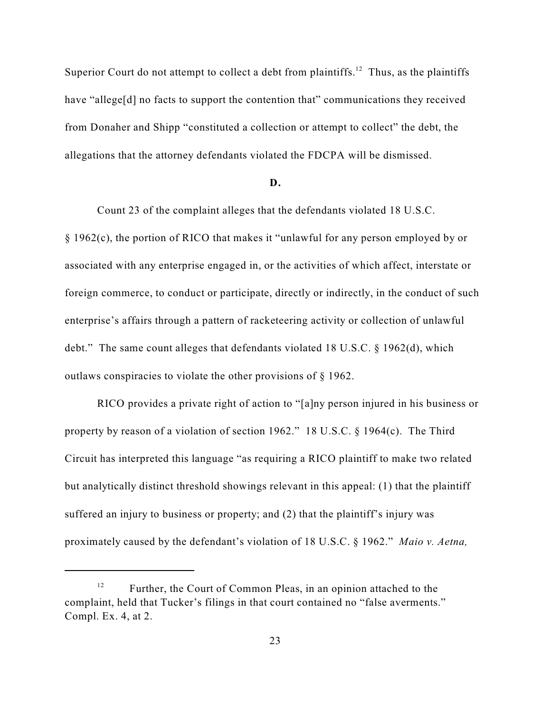Superior Court do not attempt to collect a debt from plaintiffs.<sup>12</sup> Thus, as the plaintiffs have "allege[d] no facts to support the contention that" communications they received from Donaher and Shipp "constituted a collection or attempt to collect" the debt, the allegations that the attorney defendants violated the FDCPA will be dismissed.

### **D.**

Count 23 of the complaint alleges that the defendants violated 18 U.S.C. § 1962(c), the portion of RICO that makes it "unlawful for any person employed by or associated with any enterprise engaged in, or the activities of which affect, interstate or foreign commerce, to conduct or participate, directly or indirectly, in the conduct of such enterprise's affairs through a pattern of racketeering activity or collection of unlawful debt." The same count alleges that defendants violated 18 U.S.C. § 1962(d), which outlaws conspiracies to violate the other provisions of § 1962.

RICO provides a private right of action to "[a]ny person injured in his business or property by reason of a violation of section 1962." 18 U.S.C. § 1964(c). The Third Circuit has interpreted this language "as requiring a RICO plaintiff to make two related but analytically distinct threshold showings relevant in this appeal: (1) that the plaintiff suffered an injury to business or property; and (2) that the plaintiff's injury was proximately caused by the defendant's violation of 18 U.S.C. § 1962." *Maio v. Aetna,*

 $F<sup>12</sup>$  Further, the Court of Common Pleas, in an opinion attached to the complaint, held that Tucker's filings in that court contained no "false averments." Compl. Ex. 4, at 2.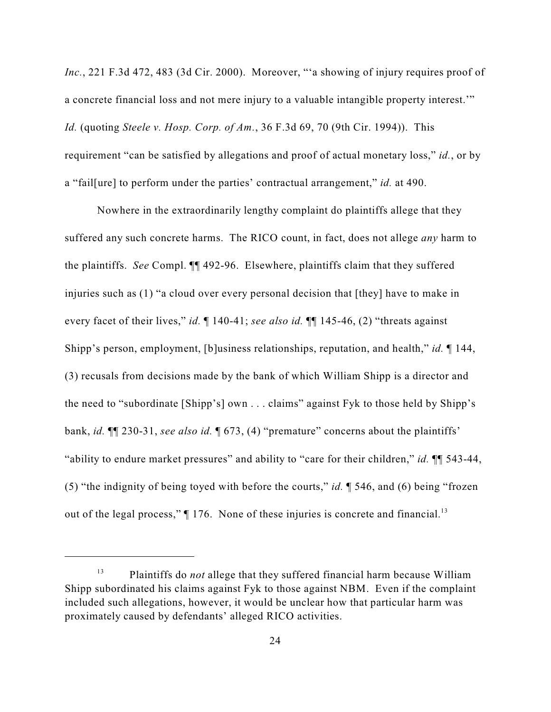*Inc.*, 221 F.3d 472, 483 (3d Cir. 2000). Moreover, "'a showing of injury requires proof of a concrete financial loss and not mere injury to a valuable intangible property interest.'" *Id.* (quoting *Steele v. Hosp. Corp. of Am.*, 36 F.3d 69, 70 (9th Cir. 1994)). This requirement "can be satisfied by allegations and proof of actual monetary loss," *id.*, or by a "fail[ure] to perform under the parties' contractual arrangement," *id.* at 490.

Nowhere in the extraordinarily lengthy complaint do plaintiffs allege that they suffered any such concrete harms. The RICO count, in fact, does not allege *any* harm to the plaintiffs. *See* Compl. ¶¶ 492-96. Elsewhere, plaintiffs claim that they suffered injuries such as (1) "a cloud over every personal decision that [they] have to make in every facet of their lives," *id.* ¶ 140-41; *see also id.* ¶¶ 145-46, (2) "threats against Shipp's person, employment, [b]usiness relationships, reputation, and health," *id.* ¶ 144, (3) recusals from decisions made by the bank of which William Shipp is a director and the need to "subordinate [Shipp's] own . . . claims" against Fyk to those held by Shipp's bank, *id.* ¶¶ 230-31, *see also id.* ¶ 673, (4) "premature" concerns about the plaintiffs' "ability to endure market pressures" and ability to "care for their children," *id.* ¶¶ 543-44, (5) "the indignity of being toyed with before the courts," *id.* ¶ 546, and (6) being "frozen out of the legal process,"  $\P$  176. None of these injuries is concrete and financial.<sup>13</sup>

<sup>&</sup>lt;sup>13</sup> Plaintiffs do *not* allege that they suffered financial harm because William Shipp subordinated his claims against Fyk to those against NBM. Even if the complaint included such allegations, however, it would be unclear how that particular harm was proximately caused by defendants' alleged RICO activities.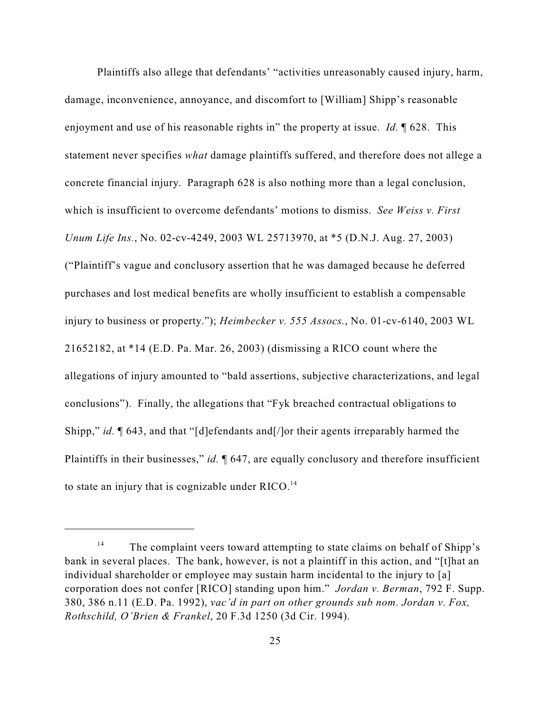Plaintiffs also allege that defendants' "activities unreasonably caused injury, harm, damage, inconvenience, annoyance, and discomfort to [William] Shipp's reasonable enjoyment and use of his reasonable rights in" the property at issue. *Id.* ¶ 628. This statement never specifies *what* damage plaintiffs suffered, and therefore does not allege a concrete financial injury. Paragraph 628 is also nothing more than a legal conclusion, which is insufficient to overcome defendants' motions to dismiss. *See Weiss v. First Unum Life Ins.*, No. 02-cv-4249, 2003 WL 25713970, at \*5 (D.N.J. Aug. 27, 2003) ("Plaintiff's vague and conclusory assertion that he was damaged because he deferred purchases and lost medical benefits are wholly insufficient to establish a compensable injury to business or property."); *Heimbecker v. 555 Assocs.*, No. 01-cv-6140, 2003 WL 21652182, at \*14 (E.D. Pa. Mar. 26, 2003) (dismissing a RICO count where the allegations of injury amounted to "bald assertions, subjective characterizations, and legal conclusions"). Finally, the allegations that "Fyk breached contractual obligations to Shipp," *id.* ¶ 643, and that "[d]efendants and[/]or their agents irreparably harmed the Plaintiffs in their businesses," *id.* 1647, are equally conclusory and therefore insufficient to state an injury that is cognizable under  $RICO.<sup>14</sup>$ 

<sup>&</sup>lt;sup>14</sup> The complaint veers toward attempting to state claims on behalf of Shipp's bank in several places. The bank, however, is not a plaintiff in this action, and "[t]hat an individual shareholder or employee may sustain harm incidental to the injury to [a] corporation does not confer [RICO] standing upon him." *Jordan v. Berman*, 792 F. Supp. 380, 386 n.11 (E.D. Pa. 1992), *vac'd in part on other grounds sub nom. Jordan v. Fox, Rothschild, O'Brien & Frankel*, 20 F.3d 1250 (3d Cir. 1994).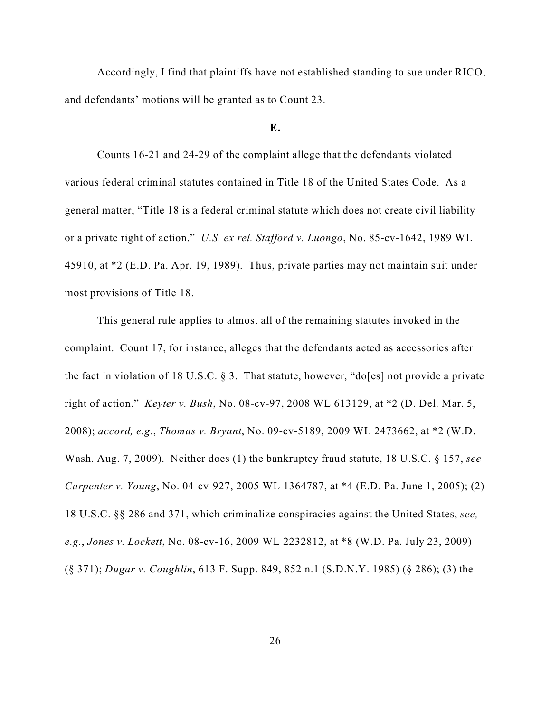Accordingly, I find that plaintiffs have not established standing to sue under RICO, and defendants' motions will be granted as to Count 23.

### **E.**

Counts 16-21 and 24-29 of the complaint allege that the defendants violated various federal criminal statutes contained in Title 18 of the United States Code. As a general matter, "Title 18 is a federal criminal statute which does not create civil liability or a private right of action." *U.S. ex rel. Stafford v. Luongo*, No. 85-cv-1642, 1989 WL 45910, at \*2 (E.D. Pa. Apr. 19, 1989). Thus, private parties may not maintain suit under most provisions of Title 18.

This general rule applies to almost all of the remaining statutes invoked in the complaint. Count 17, for instance, alleges that the defendants acted as accessories after the fact in violation of 18 U.S.C. § 3. That statute, however, "do[es] not provide a private right of action." *Keyter v. Bush*, No. 08-cv-97, 2008 WL 613129, at \*2 (D. Del. Mar. 5, 2008); *accord, e.g.*, *Thomas v. Bryant*, No. 09-cv-5189, 2009 WL 2473662, at \*2 (W.D. Wash. Aug. 7, 2009). Neither does (1) the bankruptcy fraud statute, 18 U.S.C. § 157, *see Carpenter v. Young*, No. 04-cv-927, 2005 WL 1364787, at \*4 (E.D. Pa. June 1, 2005); (2) 18 U.S.C. §§ 286 and 371, which criminalize conspiracies against the United States, *see, e.g.*, *Jones v. Lockett*, No. 08-cv-16, 2009 WL 2232812, at \*8 (W.D. Pa. July 23, 2009) (§ 371); *Dugar v. Coughlin*, 613 F. Supp. 849, 852 n.1 (S.D.N.Y. 1985) (§ 286); (3) the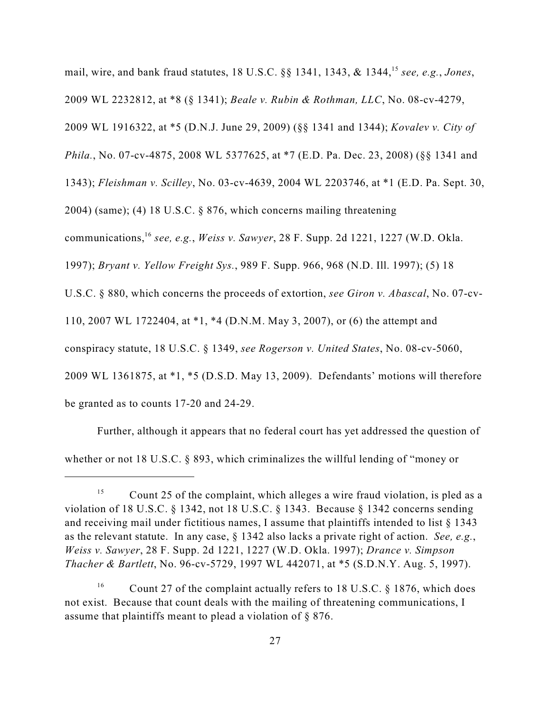mail, wire, and bank fraud statutes, 18 U.S.C. §§ 1341, 1343, & 1344,<sup>15</sup> see, e.g., Jones, 2009 WL 2232812, at \*8 (§ 1341); *Beale v. Rubin & Rothman, LLC*, No. 08-cv-4279, 2009 WL 1916322, at \*5 (D.N.J. June 29, 2009) (§§ 1341 and 1344); *Kovalev v. City of Phila.*, No. 07-cv-4875, 2008 WL 5377625, at \*7 (E.D. Pa. Dec. 23, 2008) (§§ 1341 and 1343); *Fleishman v. Scilley*, No. 03-cv-4639, 2004 WL 2203746, at \*1 (E.D. Pa. Sept. 30, 2004) (same); (4) 18 U.S.C. § 876, which concerns mailing threatening communications, <sup>16</sup> see, e.g., *Weiss v. Sawyer*, 28 F. Supp. 2d 1221, 1227 (W.D. Okla. 1997); *Bryant v. Yellow Freight Sys.*, 989 F. Supp. 966, 968 (N.D. Ill. 1997); (5) 18 U.S.C. § 880, which concerns the proceeds of extortion, *see Giron v. Abascal*, No. 07-cv-110, 2007 WL 1722404, at \*1, \*4 (D.N.M. May 3, 2007), or (6) the attempt and conspiracy statute, 18 U.S.C. § 1349, *see Rogerson v. United States*, No. 08-cv-5060, 2009 WL 1361875, at \*1, \*5 (D.S.D. May 13, 2009). Defendants' motions will therefore be granted as to counts 17-20 and 24-29.

Further, although it appears that no federal court has yet addressed the question of whether or not 18 U.S.C. § 893, which criminalizes the willful lending of "money or

<sup>&</sup>lt;sup>15</sup> Count 25 of the complaint, which alleges a wire fraud violation, is pled as a violation of 18 U.S.C. § 1342, not 18 U.S.C. § 1343. Because § 1342 concerns sending and receiving mail under fictitious names, I assume that plaintiffs intended to list § 1343 as the relevant statute. In any case, § 1342 also lacks a private right of action. *See, e.g.*, *Weiss v. Sawyer*, 28 F. Supp. 2d 1221, 1227 (W.D. Okla. 1997); *Drance v. Simpson Thacher & Bartlett*, No. 96-cv-5729, 1997 WL 442071, at \*5 (S.D.N.Y. Aug. 5, 1997).

<sup>&</sup>lt;sup>16</sup> Count 27 of the complaint actually refers to 18 U.S.C. § 1876, which does not exist. Because that count deals with the mailing of threatening communications, I assume that plaintiffs meant to plead a violation of § 876.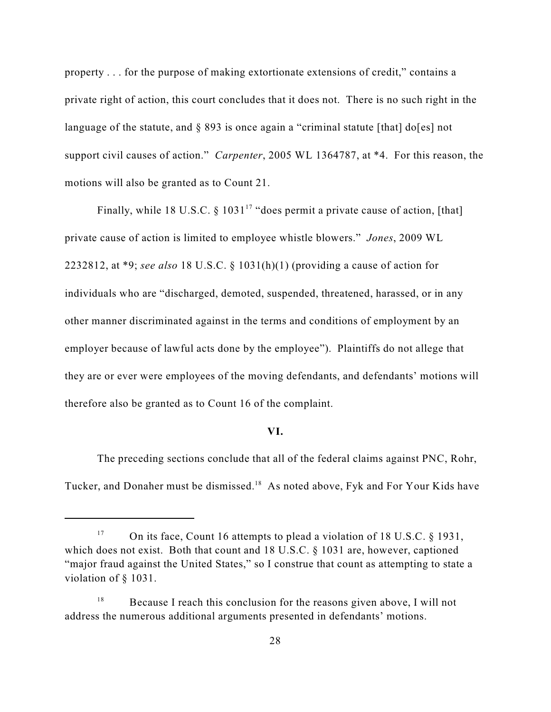property . . . for the purpose of making extortionate extensions of credit," contains a private right of action, this court concludes that it does not. There is no such right in the language of the statute, and  $\S$  893 is once again a "criminal statute [that] do[es] not support civil causes of action." *Carpenter*, 2005 WL 1364787, at \*4. For this reason, the motions will also be granted as to Count 21.

Finally, while 18 U.S.C. § 1031<sup>17</sup> "does permit a private cause of action, [that] private cause of action is limited to employee whistle blowers." *Jones*, 2009 WL 2232812, at \*9; *see also* 18 U.S.C. § 1031(h)(1) (providing a cause of action for individuals who are "discharged, demoted, suspended, threatened, harassed, or in any other manner discriminated against in the terms and conditions of employment by an employer because of lawful acts done by the employee"). Plaintiffs do not allege that they are or ever were employees of the moving defendants, and defendants' motions will therefore also be granted as to Count 16 of the complaint.

# **VI.**

The preceding sections conclude that all of the federal claims against PNC, Rohr, Tucker, and Donaher must be dismissed.<sup>18</sup> As noted above, Fyk and For Your Kids have

<sup>&</sup>lt;sup>17</sup> On its face, Count 16 attempts to plead a violation of 18 U.S.C. § 1931, which does not exist. Both that count and 18 U.S.C. § 1031 are, however, captioned "major fraud against the United States," so I construe that count as attempting to state a violation of § 1031.

 $B$  Because I reach this conclusion for the reasons given above, I will not address the numerous additional arguments presented in defendants' motions.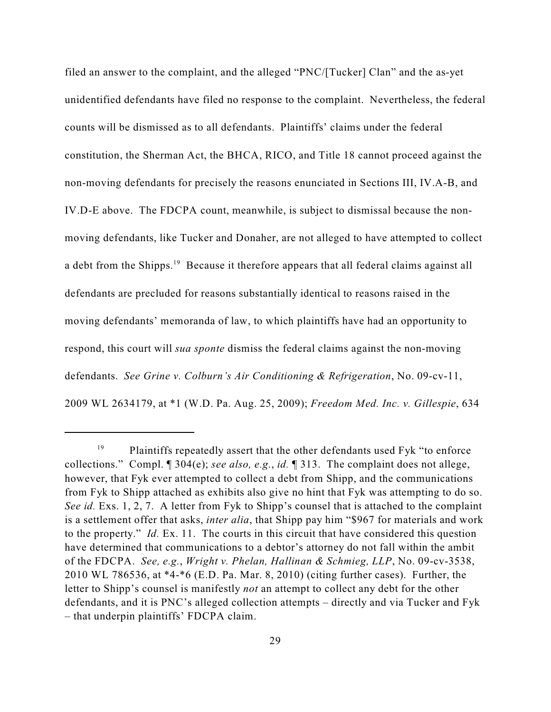filed an answer to the complaint, and the alleged "PNC/[Tucker] Clan" and the as-yet unidentified defendants have filed no response to the complaint. Nevertheless, the federal counts will be dismissed as to all defendants. Plaintiffs' claims under the federal constitution, the Sherman Act, the BHCA, RICO, and Title 18 cannot proceed against the non-moving defendants for precisely the reasons enunciated in Sections III, IV.A-B, and IV.D-E above. The FDCPA count, meanwhile, is subject to dismissal because the nonmoving defendants, like Tucker and Donaher, are not alleged to have attempted to collect a debt from the Shipps.<sup>19</sup> Because it therefore appears that all federal claims against all defendants are precluded for reasons substantially identical to reasons raised in the moving defendants' memoranda of law, to which plaintiffs have had an opportunity to respond, this court will *sua sponte* dismiss the federal claims against the non-moving defendants. *See Grine v. Colburn's Air Conditioning & Refrigeration*, No. 09-cv-11, 2009 WL 2634179, at \*1 (W.D. Pa. Aug. 25, 2009); *Freedom Med. Inc. v. Gillespie*, 634

 $P$ laintiffs repeatedly assert that the other defendants used Fyk "to enforce" collections." Compl. ¶ 304(e); *see also, e.g.*, *id.* ¶ 313. The complaint does not allege, however, that Fyk ever attempted to collect a debt from Shipp, and the communications from Fyk to Shipp attached as exhibits also give no hint that Fyk was attempting to do so. *See id.* Exs. 1, 2, 7. A letter from Fyk to Shipp's counsel that is attached to the complaint is a settlement offer that asks, *inter alia*, that Shipp pay him "\$967 for materials and work to the property." *Id.* Ex. 11. The courts in this circuit that have considered this question have determined that communications to a debtor's attorney do not fall within the ambit of the FDCPA. *See, e.g.*, *Wright v. Phelan, Hallinan & Schmieg, LLP*, No. 09-cv-3538, 2010 WL 786536, at \*4-\*6 (E.D. Pa. Mar. 8, 2010) (citing further cases). Further, the letter to Shipp's counsel is manifestly *not* an attempt to collect any debt for the other defendants, and it is PNC's alleged collection attempts – directly and via Tucker and Fyk – that underpin plaintiffs' FDCPA claim.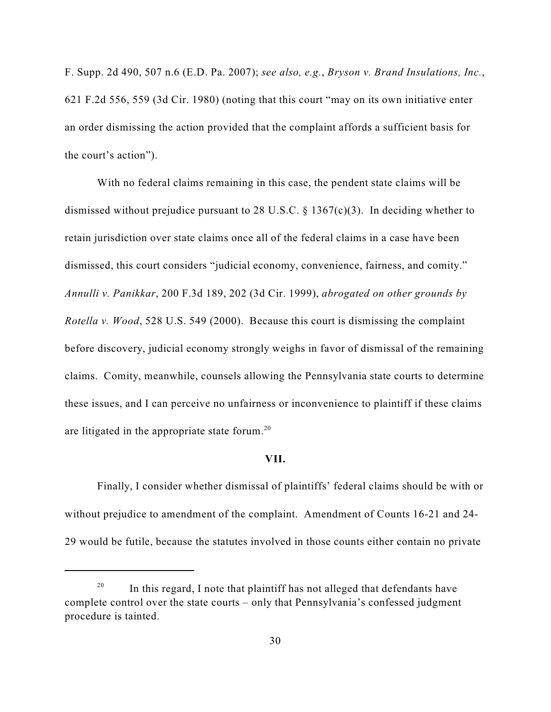F. Supp. 2d 490, 507 n.6 (E.D. Pa. 2007); *see also, e.g.*, *Bryson v. Brand Insulations, Inc.*, 621 F.2d 556, 559 (3d Cir. 1980) (noting that this court "may on its own initiative enter an order dismissing the action provided that the complaint affords a sufficient basis for the court's action").

With no federal claims remaining in this case, the pendent state claims will be dismissed without prejudice pursuant to 28 U.S.C. § 1367(c)(3). In deciding whether to retain jurisdiction over state claims once all of the federal claims in a case have been dismissed, this court considers "judicial economy, convenience, fairness, and comity." *Annulli v. Panikkar*, 200 F.3d 189, 202 (3d Cir. 1999), *abrogated on other grounds by Rotella v. Wood*, 528 U.S. 549 (2000). Because this court is dismissing the complaint before discovery, judicial economy strongly weighs in favor of dismissal of the remaining claims. Comity, meanwhile, counsels allowing the Pennsylvania state courts to determine these issues, and I can perceive no unfairness or inconvenience to plaintiff if these claims are litigated in the appropriate state forum.<sup>20</sup>

### **VII.**

Finally, I consider whether dismissal of plaintiffs' federal claims should be with or without prejudice to amendment of the complaint. Amendment of Counts 16-21 and 24- 29 would be futile, because the statutes involved in those counts either contain no private

 $\frac{20}{20}$  In this regard, I note that plaintiff has not alleged that defendants have complete control over the state courts – only that Pennsylvania's confessed judgment procedure is tainted.